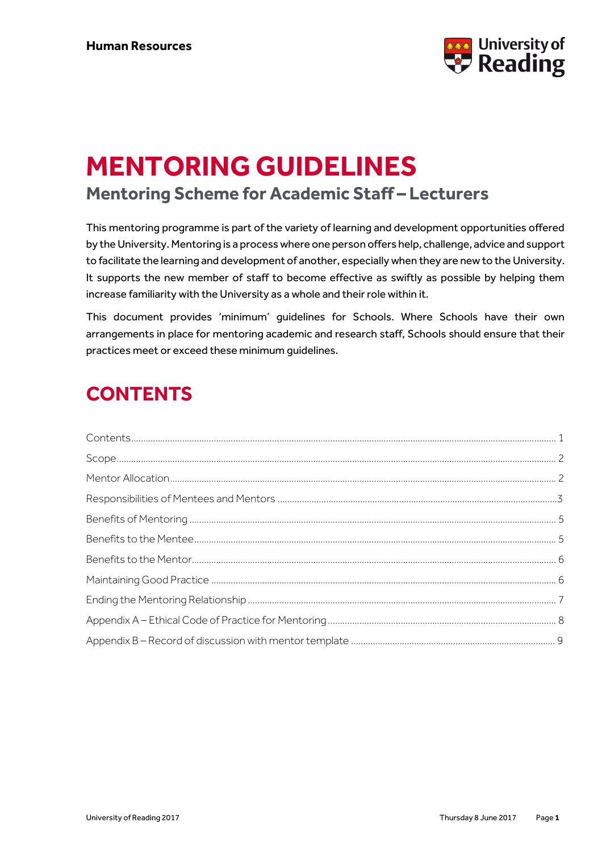

# **MENTORING GUIDELINES Mentoring Scheme for Academic Staff – Lecturers**

This mentoring programme is part of the variety of learning and development opportunities offered by the University. Mentoring is a process where one person offers help, challenge, advice and support to facilitate the learning and development of another, especially when they are new to the University. It supports the new member of staff to become effective as swiftly as possible by helping them increase familiarity with the University as a whole and their role within it.

This document provides 'minimum' guidelines for Schools. Where Schools have their own arrangements in place for mentoring academic and research staff, Schools should ensure that their practices meet or exceed these minimum guidelines.

## <span id="page-0-0"></span>**CONTENTS**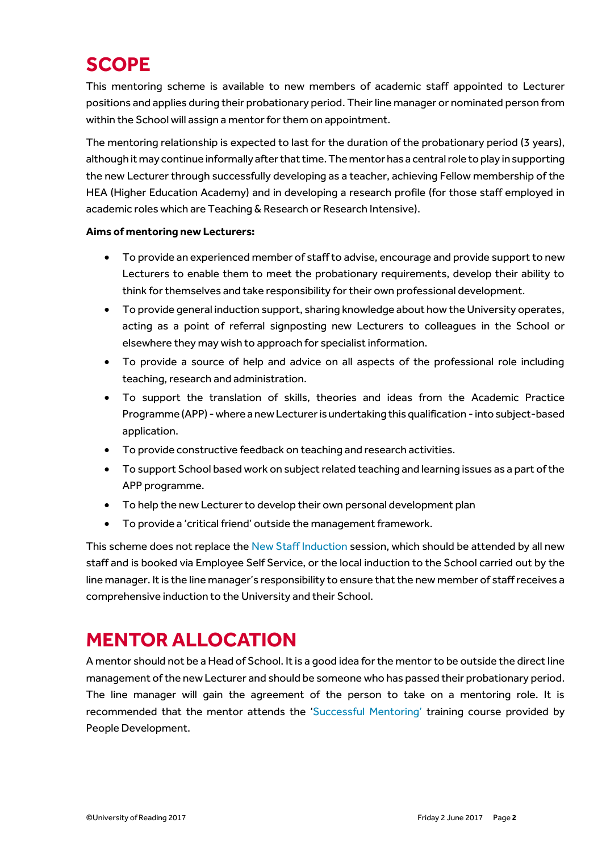## <span id="page-1-0"></span>**SCOPE**

This mentoring scheme is available to new members of academic staff appointed to Lecturer positions and applies during their probationary period. Their line manager or nominated person from within the School will assign a mentor for them on appointment.

The mentoring relationship is expected to last for the duration of the probationary period (3 years), although it may continue informally after that time. The mentor has a central role to play in supporting the new Lecturer through successfully developing as a teacher, achieving Fellow membership of the HEA (Higher Education Academy) and in developing a research profile (for those staff employed in academic roles which are Teaching & Research or Research Intensive).

#### **Aims of mentoring new Lecturers:**

- To provide an experienced member of staff to advise, encourage and provide support to new Lecturers to enable them to meet the probationary requirements, develop their ability to think for themselves and take responsibility for their own professional development.
- To provide general induction support, sharing knowledge about how the University operates, acting as a point of referral signposting new Lecturers to colleagues in the School or elsewhere they may wish to approach for specialist information.
- To provide a source of help and advice on all aspects of the professional role including teaching, research and administration.
- To support the translation of skills, theories and ideas from the Academic Practice Programme (APP) - where a new Lecturer is undertaking this qualification - into subject-based application.
- To provide constructive feedback on teaching and research activities.
- To support School based work on subject related teaching and learning issues as a part of the APP programme.
- To help the new Lecturer to develop their own personal development plan
- To provide a 'critical friend' outside the management framework.

This scheme does not replace the New Staff Induction session, which should be attended by all new staff and is booked via Employee Self Service, or the local induction to the School carried out by the line manager. It is the line manager's responsibility to ensure that the new member of staffreceives a comprehensive induction to the University and their School.

## <span id="page-1-1"></span>**MENTOR ALLOCATION**

A mentor should not be a Head of School. It is a good idea for the mentor to be outside the direct line management of the new Lecturer and should be someone who has passed their probationary period. The line manager will gain the agreement of the person to take on a mentoring role. It is recommended that the mentor attends the 'Successful Mentoring' training course provided by People Development.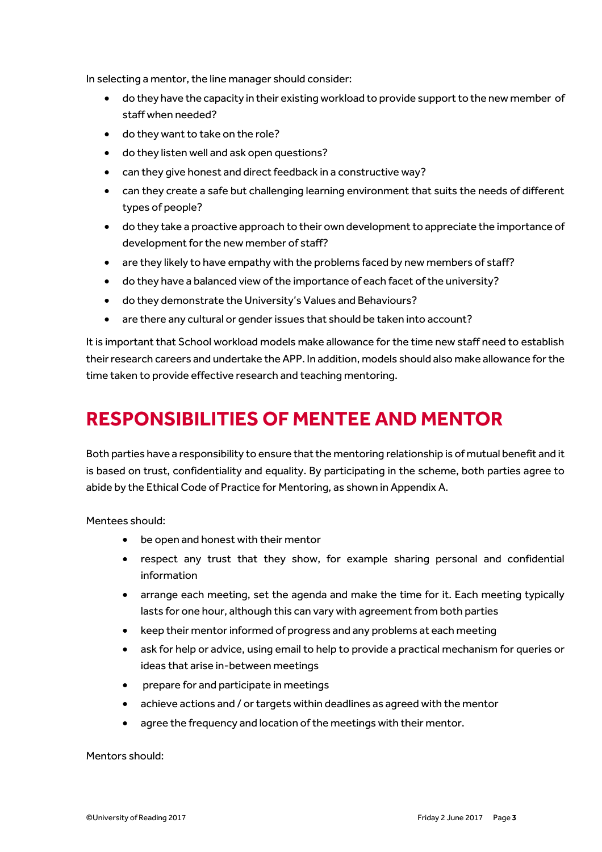In selecting a mentor, the line manager should consider:

- do they have the capacity in their existing workload to provide support to the new member of staff when needed?
- do they want to take on the role?
- do they listen well and ask open questions?
- can they give honest and direct feedback in a constructive way?
- can they create a safe but challenging learning environment that suits the needs of different types of people?
- do they take a proactive approach to their own development to appreciate the importance of development for the new member of staff?
- are they likely to have empathy with the problems faced by new members of staff?
- do they have a balanced view of the importance of each facet of the university?
- do they demonstrate the University's Values and Behaviours?
- are there any cultural or gender issues that should be taken into account?

It is important that School workload models make allowance for the time new staff need to establish their research careers and undertake the APP. In addition, models should also make allowance for the time taken to provide effective research and teaching mentoring.

## **RESPONSIBILITIES OF MENTEE AND MENTOR**

Both parties have a responsibility to ensure that the mentoring relationship is of mutual benefit and it is based on trust, confidentiality and equality. By participating in the scheme, both parties agree to abide by the Ethical Code of Practice for Mentoring, as shown in Appendix A.

Mentees should:

- be open and honest with their mentor
- respect any trust that they show, for example sharing personal and confidential information
- arrange each meeting, set the agenda and make the time for it. Each meeting typically lasts for one hour, although this can vary with agreement from both parties
- keep their mentor informed of progress and any problems at each meeting
- ask for help or advice, using email to help to provide a practical mechanism for queries or ideas that arise in-between meetings
- prepare for and participate in meetings
- achieve actions and / or targets within deadlines as agreed with the mentor
- agree the frequency and location of the meetings with their mentor.

#### Mentors should: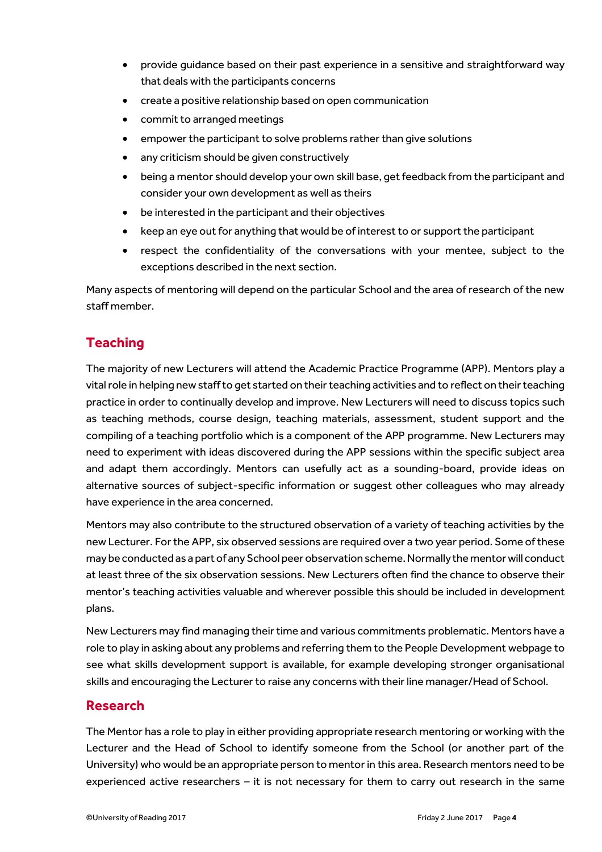- provide guidance based on their past experience in a sensitive and straightforward way that deals with the participants concerns
- create a positive relationship based on open communication
- commit to arranged meetings
- empower the participant to solve problems rather than give solutions
- any criticism should be given constructively
- being a mentor should develop your own skill base, get feedback from the participant and consider your own development as well as theirs
- be interested in the participant and their objectives
- keep an eye out for anything that would be of interest to or support the participant
- respect the confidentiality of the conversations with your mentee, subject to the exceptions described in the next section.

Many aspects of mentoring will depend on the particular School and the area of research of the new staff member.

### **Teaching**

The majority of new Lecturers will attend the Academic Practice Programme (APP). Mentors play a vital role in helping new staff to get started on their teaching activities and to reflect on their teaching practice in order to continually develop and improve. New Lecturers will need to discuss topics such as teaching methods, course design, teaching materials, assessment, student support and the compiling of a teaching portfolio which is a component of the APP programme. New Lecturers may need to experiment with ideas discovered during the APP sessions within the specific subject area and adapt them accordingly. Mentors can usefully act as a sounding-board, provide ideas on alternative sources of subject-specific information or suggest other colleagues who may already have experience in the area concerned.

Mentors may also contribute to the structured observation of a variety of teaching activities by the new Lecturer. For the APP, six observed sessions are required over a two year period. Some of these may be conducted as a part of any School peer observation scheme. Normally the mentor will conduct at least three of the six observation sessions. New Lecturers often find the chance to observe their mentor's teaching activities valuable and wherever possible this should be included in development plans.

New Lecturers may find managing their time and various commitments problematic. Mentors have a role to play in asking about any problems and referring them to the People Development webpage to see what skills development support is available, for example developing stronger organisational skills and encouraging the Lecturer to raise any concerns with their line manager/Head of School.

#### **Research**

The Mentor has a role to play in either providing appropriate research mentoring or working with the Lecturer and the Head of School to identify someone from the School (or another part of the University) who would be an appropriate person to mentor in this area. Research mentors need to be experienced active researchers – it is not necessary for them to carry out research in the same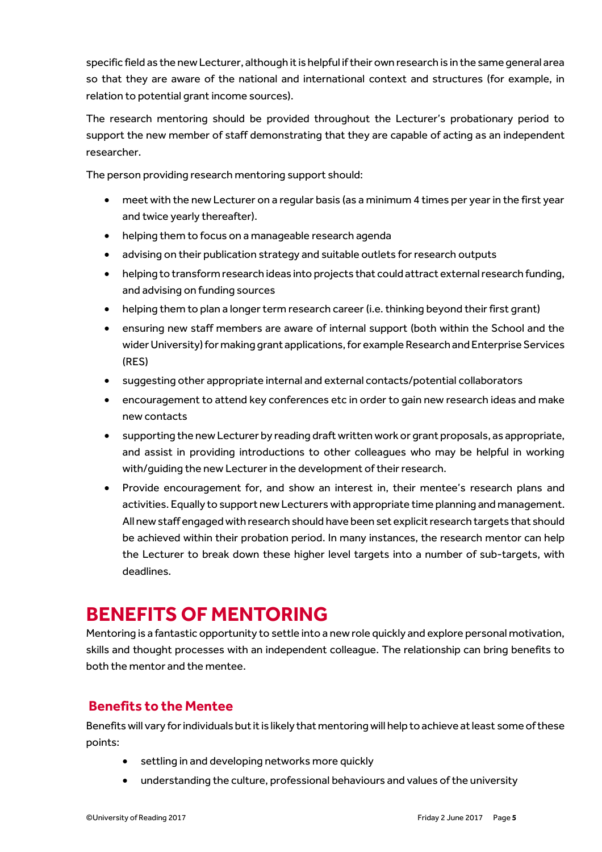specific field as the new Lecturer, although it is helpful if their own research is in the same general area so that they are aware of the national and international context and structures (for example, in relation to potential grant income sources).

The research mentoring should be provided throughout the Lecturer's probationary period to support the new member of staff demonstrating that they are capable of acting as an independent researcher.

The person providing research mentoring support should:

- meet with the new Lecturer on a regular basis (as a minimum 4 times per year in the first year and twice yearly thereafter).
- helping them to focus on a manageable research agenda
- advising on their publication strategy and suitable outlets for research outputs
- helping to transform research ideas into projects that could attract external research funding, and advising on funding sources
- helping them to plan a longer term research career (i.e. thinking beyond their first grant)
- ensuring new staff members are aware of internal support (both within the School and the wider University) for making grant applications, for example Research and Enterprise Services (RES)
- suggesting other appropriate internal and external contacts/potential collaborators
- encouragement to attend key conferences etc in order to gain new research ideas and make new contacts
- supporting the new Lecturer by reading draft written work or grant proposals, as appropriate, and assist in providing introductions to other colleagues who may be helpful in working with/guiding the new Lecturer in the development of their research.
- Provide encouragement for, and show an interest in, their mentee's research plans and activities. Equally to support new Lecturers with appropriate time planning and management. All new staff engaged with research should have been set explicit research targets that should be achieved within their probation period. In many instances, the research mentor can help the Lecturer to break down these higher level targets into a number of sub-targets, with deadlines.

### <span id="page-4-0"></span>**BENEFITS OF MENTORING**

Mentoring is a fantastic opportunity to settle into a new role quickly and explore personal motivation, skills and thought processes with an independent colleague. The relationship can bring benefits to both the mentor and the mentee.

### <span id="page-4-1"></span>**Benefits to the Mentee**

Benefits will vary for individuals but it is likely that mentoring will help to achieve at least some of these points:

- settling in and developing networks more quickly
- understanding the culture, professional behaviours and values of the university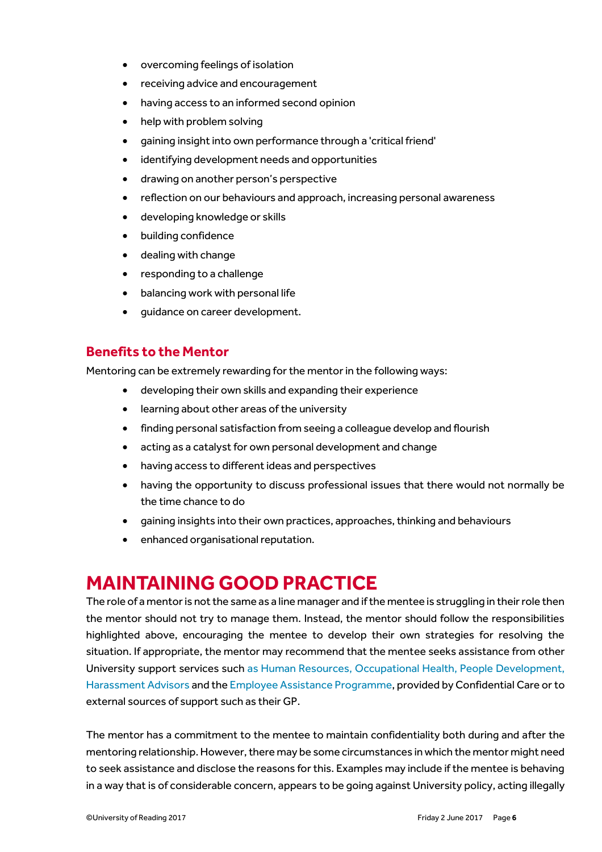- overcoming feelings of isolation
- receiving advice and encouragement
- having access to an informed second opinion
- help with problem solving
- gaining insight into own performance through a 'critical friend'
- identifying development needs and opportunities
- drawing on another person's perspective
- reflection on our behaviours and approach, increasing personal awareness
- developing knowledge or skills
- building confidence
- dealing with change
- responding to a challenge
- balancing work with personal life
- guidance on career development.

### <span id="page-5-0"></span>**Benefits to the Mentor**

Mentoring can be extremely rewarding for the mentor in the following ways:

- developing their own skills and expanding their experience
- learning about other areas of the university
- finding personal satisfaction from seeing a colleague develop and flourish
- acting as a catalyst for own personal development and change
- having access to different ideas and perspectives
- having the opportunity to discuss professional issues that there would not normally be the time chance to do
- gaining insights into their own practices, approaches, thinking and behaviours
- enhanced organisational reputation.

### <span id="page-5-1"></span>**MAINTAINING GOOD PRACTICE**

The role of a mentor is not the same as a line manager and if the mentee is struggling in their role then the mentor should not try to manage them. Instead, the mentor should follow the responsibilities highlighted above, encouraging the mentee to develop their own strategies for resolving the situation. If appropriate, the mentor may recommend that the mentee seeks assistance from other University support services such as Human Resources, Occupational Health, People Development, Harassment Advisors and the Employee Assistance Programme, provided by Confidential Care or to external sources of support such as their GP.

The mentor has a commitment to the mentee to maintain confidentiality both during and after the mentoring relationship. However, there may be some circumstances in which the mentor might need to seek assistance and disclose the reasons for this. Examples may include if the mentee is behaving in a way that is of considerable concern, appears to be going against University policy, acting illegally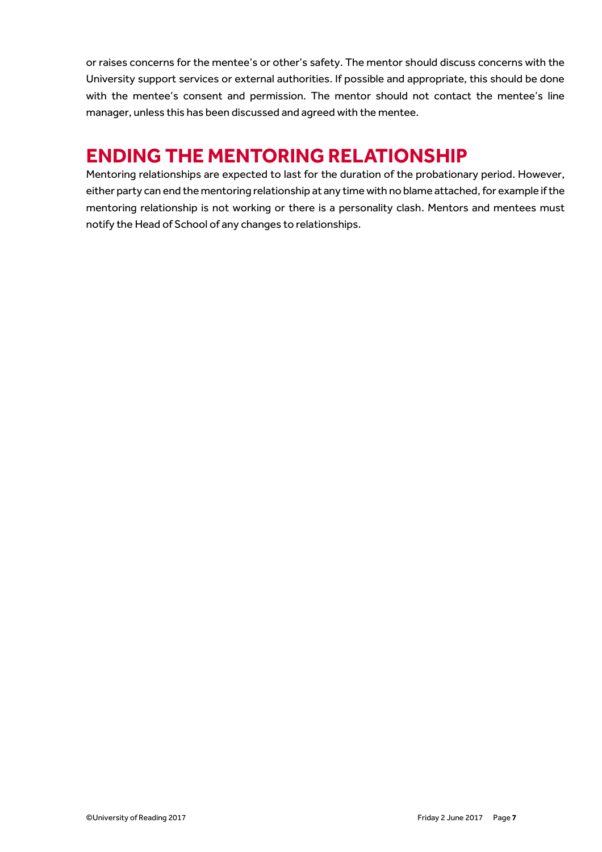or raises concerns for the mentee's or other's safety. The mentor should discuss concerns with the University support services or external authorities. If possible and appropriate, this should be done with the mentee's consent and permission. The mentor should not contact the mentee's line manager, unless this has been discussed and agreed with the mentee.

## <span id="page-6-0"></span>**ENDING THE MENTORING RELATIONSHIP**

Mentoring relationships are expected to last for the duration of the probationary period. However, either party can end the mentoring relationship at any time with no blame attached, for example if the mentoring relationship is not working or there is a personality clash. Mentors and mentees must notify the Head of School of any changes to relationships.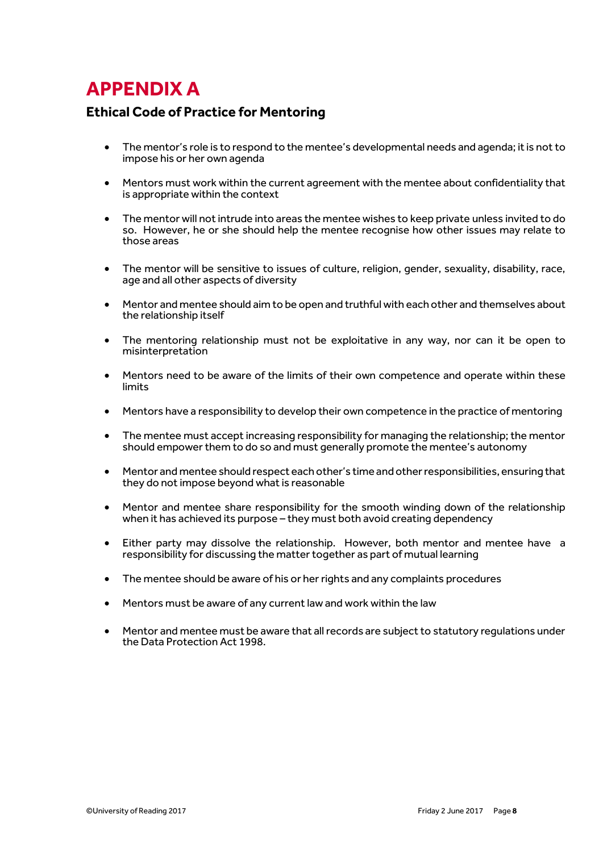## <span id="page-7-0"></span>**APPENDIX A**

### **Ethical Code of Practice for Mentoring**

- The mentor's role is to respond to the mentee's developmental needs and agenda; it is not to impose his or her own agenda
- Mentors must work within the current agreement with the mentee about confidentiality that is appropriate within the context
- The mentor will not intrude into areas the mentee wishes to keep private unless invited to do so. However, he or she should help the mentee recognise how other issues may relate to those areas
- The mentor will be sensitive to issues of culture, religion, gender, sexuality, disability, race, age and all other aspects of diversity
- Mentor and mentee should aim to be open and truthful with each other and themselves about the relationship itself
- The mentoring relationship must not be exploitative in any way, nor can it be open to misinterpretation
- Mentors need to be aware of the limits of their own competence and operate within these limits
- Mentors have a responsibility to develop their own competence in the practice of mentoring
- The mentee must accept increasing responsibility for managing the relationship; the mentor should empower them to do so and must generally promote the mentee's autonomy
- Mentor and mentee should respect each other's time and other responsibilities, ensuring that they do not impose beyond what is reasonable
- Mentor and mentee share responsibility for the smooth winding down of the relationship when it has achieved its purpose – they must both avoid creating dependency
- Either party may dissolve the relationship. However, both mentor and mentee have a responsibility for discussing the matter together as part of mutual learning
- The mentee should be aware of his or her rights and any complaints procedures
- Mentors must be aware of any current law and work within the law
- Mentor and mentee must be aware that all records are subject to statutory regulations under the Data Protection Act 1998.